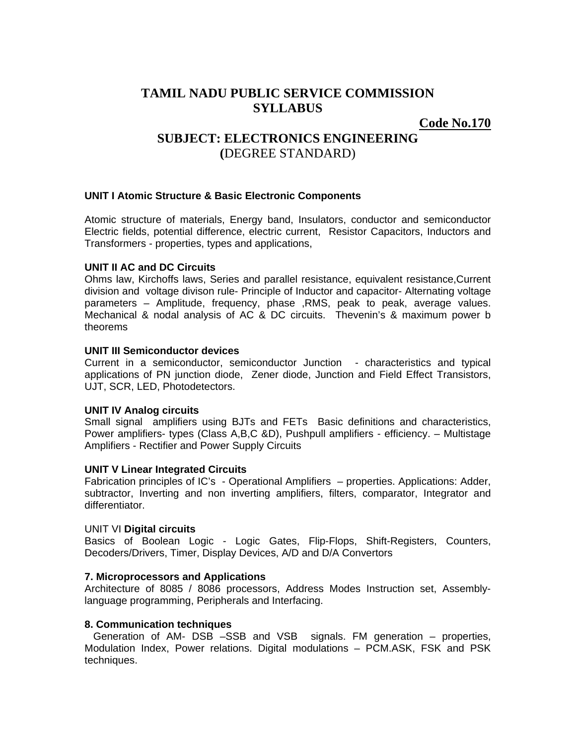# **TAMIL NADU PUBLIC SERVICE COMMISSION SYLLABUS**

**Code No.170**

# **SUBJECT: ELECTRONICS ENGINEERING (**DEGREE STANDARD)

## **UNIT I Atomic Structure & Basic Electronic Components**

Atomic structure of materials, Energy band, Insulators, conductor and semiconductor Electric fields, potential difference, electric current, Resistor Capacitors, Inductors and Transformers - properties, types and applications,

## **UNIT II AC and DC Circuits**

Ohms law, Kirchoffs laws, Series and parallel resistance, equivalent resistance,Current division and voltage divison rule- Principle of Inductor and capacitor- Alternating voltage parameters – Amplitude, frequency, phase ,RMS, peak to peak, average values. Mechanical & nodal analysis of AC & DC circuits. Thevenin's & maximum power b theorems

### **UNIT III Semiconductor devices**

Current in a semiconductor, semiconductor Junction - characteristics and typical applications of PN junction diode, Zener diode, Junction and Field Effect Transistors, UJT, SCR, LED, Photodetectors.

#### **UNIT IV Analog circuits**

Small signal amplifiers using BJTs and FETs Basic definitions and characteristics, Power amplifiers- types (Class A,B,C &D), Pushpull amplifiers - efficiency. – Multistage Amplifiers - Rectifier and Power Supply Circuits

## **UNIT V Linear Integrated Circuits**

Fabrication principles of IC's - Operational Amplifiers – properties. Applications: Adder, subtractor, Inverting and non inverting amplifiers, filters, comparator, Integrator and differentiator.

#### UNIT VI **Digital circuits**

Basics of Boolean Logic - Logic Gates, Flip-Flops, Shift-Registers, Counters, Decoders/Drivers, Timer, Display Devices, A/D and D/A Convertors

## **7. Microprocessors and Applications**

Architecture of 8085 / 8086 processors, Address Modes Instruction set, Assemblylanguage programming, Peripherals and Interfacing.

#### **8. Communication techniques**

 Generation of AM- DSB –SSB and VSB signals. FM generation – properties, Modulation Index, Power relations. Digital modulations – PCM.ASK, FSK and PSK techniques.